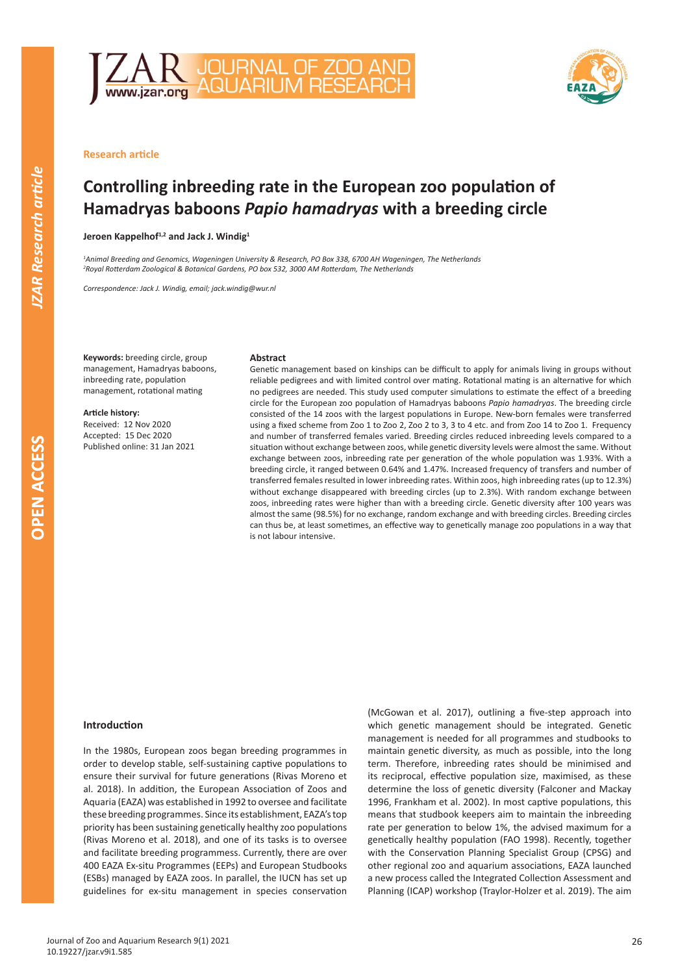



## **Research article**

# **Controlling inbreeding rate in the European zoo population of Hamadryas baboons** *Papio hamadryas* **with a breeding circle**

**Jeroen Kappelhof1,2 and Jack J. Windig<sup>1</sup>**

*1 Animal Breeding and Genomics, Wageningen University & Research, PO Box 338, 6700 AH Wageningen, The Netherlands 2 Royal Rotterdam Zoological & Botanical Gardens, PO box 532, 3000 AM Rotterdam, The Netherlands*

*Correspondence: Jack J. Windig, email; jack.windig@wur.nl*

**Keywords:** breeding circle, group management, Hamadryas baboons, inbreeding rate, population management, rotational mating

**Article history:** Received: 12 Nov 2020 Accepted: 15 Dec 2020 Published online: 31 Jan 2021

#### **Abstract**

Genetic management based on kinships can be difficult to apply for animals living in groups without reliable pedigrees and with limited control over mating. Rotational mating is an alternative for which no pedigrees are needed. This study used computer simulations to estimate the effect of a breeding circle for the European zoo population of Hamadryas baboons *Papio hamadryas*. The breeding circle consisted of the 14 zoos with the largest populations in Europe. New-born females were transferred using a fixed scheme from Zoo 1 to Zoo 2, Zoo 2 to 3, 3 to 4 etc. and from Zoo 14 to Zoo 1. Frequency and number of transferred females varied. Breeding circles reduced inbreeding levels compared to a situation without exchange between zoos, while genetic diversity levels were almost the same. Without exchange between zoos, inbreeding rate per generation of the whole population was 1.93%. With a breeding circle, it ranged between 0.64% and 1.47%. Increased frequency of transfers and number of transferred females resulted in lower inbreeding rates. Within zoos, high inbreeding rates (up to 12.3%) without exchange disappeared with breeding circles (up to 2.3%). With random exchange between zoos, inbreeding rates were higher than with a breeding circle. Genetic diversity after 100 years was almost the same (98.5%) for no exchange, random exchange and with breeding circles. Breeding circles can thus be, at least sometimes, an effective way to genetically manage zoo populations in a way that is not labour intensive.

#### **Introduction**

In the 1980s, European zoos began breeding programmes in order to develop stable, self-sustaining captive populations to ensure their survival for future generations (Rivas Moreno et al. 2018). In addition, the European Association of Zoos and Aquaria (EAZA) was established in 1992 to oversee and facilitate these breeding programmes. Since its establishment, EAZA's top priority has been sustaining genetically healthy zoo populations (Rivas Moreno et al. 2018), and one of its tasks is to oversee and facilitate breeding programmess. Currently, there are over 400 EAZA Ex-situ Programmes (EEPs) and European Studbooks (ESBs) managed by EAZA zoos. In parallel, the IUCN has set up guidelines for ex-situ management in species conservation (McGowan et al. 2017), outlining a five-step approach into which genetic management should be integrated. Genetic management is needed for all programmes and studbooks to maintain genetic diversity, as much as possible, into the long term. Therefore, inbreeding rates should be minimised and its reciprocal, effective population size, maximised, as these determine the loss of genetic diversity (Falconer and Mackay 1996, Frankham et al. 2002). In most captive populations, this means that studbook keepers aim to maintain the inbreeding rate per generation to below 1%, the advised maximum for a genetically healthy population (FAO 1998). Recently, together with the Conservation Planning Specialist Group (CPSG) and other regional zoo and aquarium associations, EAZA launched a new process called the Integrated Collection Assessment and Planning (ICAP) workshop (Traylor-Holzer et al. 2019). The aim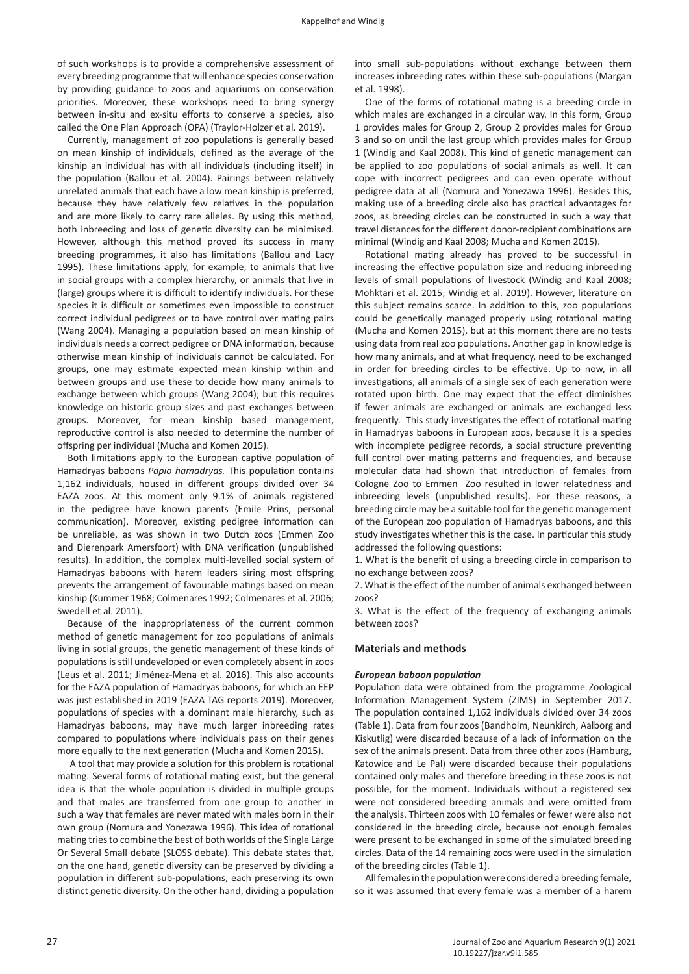of such workshops is to provide a comprehensive assessment of every breeding programme that will enhance species conservation by providing guidance to zoos and aquariums on conservation priorities. Moreover, these workshops need to bring synergy between in-situ and ex-situ efforts to conserve a species, also called the One Plan Approach (OPA) (Traylor-Holzer et al. 2019).

Currently, management of zoo populations is generally based on mean kinship of individuals, defined as the average of the kinship an individual has with all individuals (including itself) in the population (Ballou et al. 2004). Pairings between relatively unrelated animals that each have a low mean kinship is preferred, because they have relatively few relatives in the population and are more likely to carry rare alleles. By using this method, both inbreeding and loss of genetic diversity can be minimised. However, although this method proved its success in many breeding programmes, it also has limitations (Ballou and Lacy 1995). These limitations apply, for example, to animals that live in social groups with a complex hierarchy, or animals that live in (large) groups where it is difficult to identify individuals. For these species it is difficult or sometimes even impossible to construct correct individual pedigrees or to have control over mating pairs (Wang 2004). Managing a population based on mean kinship of individuals needs a correct pedigree or DNA information, because otherwise mean kinship of individuals cannot be calculated. For groups, one may estimate expected mean kinship within and between groups and use these to decide how many animals to exchange between which groups (Wang 2004); but this requires knowledge on historic group sizes and past exchanges between groups. Moreover, for mean kinship based management, reproductive control is also needed to determine the number of offspring per individual (Mucha and Komen 2015).

Both limitations apply to the European captive population of Hamadryas baboons *Papio hamadryas.* This population contains 1,162 individuals, housed in different groups divided over 34 EAZA zoos. At this moment only 9.1% of animals registered in the pedigree have known parents (Emile Prins, personal communication). Moreover, existing pedigree information can be unreliable, as was shown in two Dutch zoos (Emmen Zoo and Dierenpark Amersfoort) with DNA verification (unpublished results). In addition, the complex multi-levelled social system of Hamadryas baboons with harem leaders siring most offspring prevents the arrangement of favourable matings based on mean kinship (Kummer 1968; Colmenares 1992; Colmenares et al. 2006; Swedell et al. 2011).

Because of the inappropriateness of the current common method of genetic management for zoo populations of animals living in social groups, the genetic management of these kinds of populations is still undeveloped or even completely absent in zoos (Leus et al. 2011; Jiménez-Mena et al. 2016). This also accounts for the EAZA population of Hamadryas baboons, for which an EEP was just established in 2019 (EAZA TAG reports 2019). Moreover, populations of species with a dominant male hierarchy, such as Hamadryas baboons, may have much larger inbreeding rates compared to populations where individuals pass on their genes more equally to the next generation (Mucha and Komen 2015).

 A tool that may provide a solution for this problem is rotational mating. Several forms of rotational mating exist, but the general idea is that the whole population is divided in multiple groups and that males are transferred from one group to another in such a way that females are never mated with males born in their own group (Nomura and Yonezawa 1996). This idea of rotational mating tries to combine the best of both worlds of the Single Large Or Several Small debate (SLOSS debate). This debate states that, on the one hand, genetic diversity can be preserved by dividing a population in different sub-populations, each preserving its own distinct genetic diversity. On the other hand, dividing a population

into small sub-populations without exchange between them increases inbreeding rates within these sub-populations (Margan et al. 1998).

One of the forms of rotational mating is a breeding circle in which males are exchanged in a circular way. In this form, Group 1 provides males for Group 2, Group 2 provides males for Group 3 and so on until the last group which provides males for Group 1 (Windig and Kaal 2008). This kind of genetic management can be applied to zoo populations of social animals as well. It can cope with incorrect pedigrees and can even operate without pedigree data at all (Nomura and Yonezawa 1996). Besides this, making use of a breeding circle also has practical advantages for zoos, as breeding circles can be constructed in such a way that travel distances for the different donor-recipient combinations are minimal (Windig and Kaal 2008; Mucha and Komen 2015).

Rotational mating already has proved to be successful in increasing the effective population size and reducing inbreeding levels of small populations of livestock (Windig and Kaal 2008; Mohktari et al. 2015; Windig et al. 2019). However, literature on this subject remains scarce. In addition to this, zoo populations could be genetically managed properly using rotational mating (Mucha and Komen 2015), but at this moment there are no tests using data from real zoo populations. Another gap in knowledge is how many animals, and at what frequency, need to be exchanged in order for breeding circles to be effective. Up to now, in all investigations, all animals of a single sex of each generation were rotated upon birth. One may expect that the effect diminishes if fewer animals are exchanged or animals are exchanged less frequently. This study investigates the effect of rotational mating in Hamadryas baboons in European zoos, because it is a species with incomplete pedigree records, a social structure preventing full control over mating patterns and frequencies, and because molecular data had shown that introduction of females from Cologne Zoo to Emmen Zoo resulted in lower relatedness and inbreeding levels (unpublished results). For these reasons, a breeding circle may be a suitable tool for the genetic management of the European zoo population of Hamadryas baboons, and this study investigates whether this is the case. In particular this study addressed the following questions:

1. What is the benefit of using a breeding circle in comparison to no exchange between zoos?

2. What is the effect of the number of animals exchanged between zoos?

3. What is the effect of the frequency of exchanging animals between zoos?

#### **Materials and methods**

## *European baboon population*

Population data were obtained from the programme Zoological Information Management System (ZIMS) in September 2017. The population contained 1,162 individuals divided over 34 zoos (Table 1). Data from four zoos (Bandholm, Neunkirch, Aalborg and Kiskutlig) were discarded because of a lack of information on the sex of the animals present. Data from three other zoos (Hamburg, Katowice and Le Pal) were discarded because their populations contained only males and therefore breeding in these zoos is not possible, for the moment. Individuals without a registered sex were not considered breeding animals and were omitted from the analysis. Thirteen zoos with 10 females or fewer were also not considered in the breeding circle, because not enough females were present to be exchanged in some of the simulated breeding circles. Data of the 14 remaining zoos were used in the simulation of the breeding circles (Table 1).

All females in the population were considered a breeding female, so it was assumed that every female was a member of a harem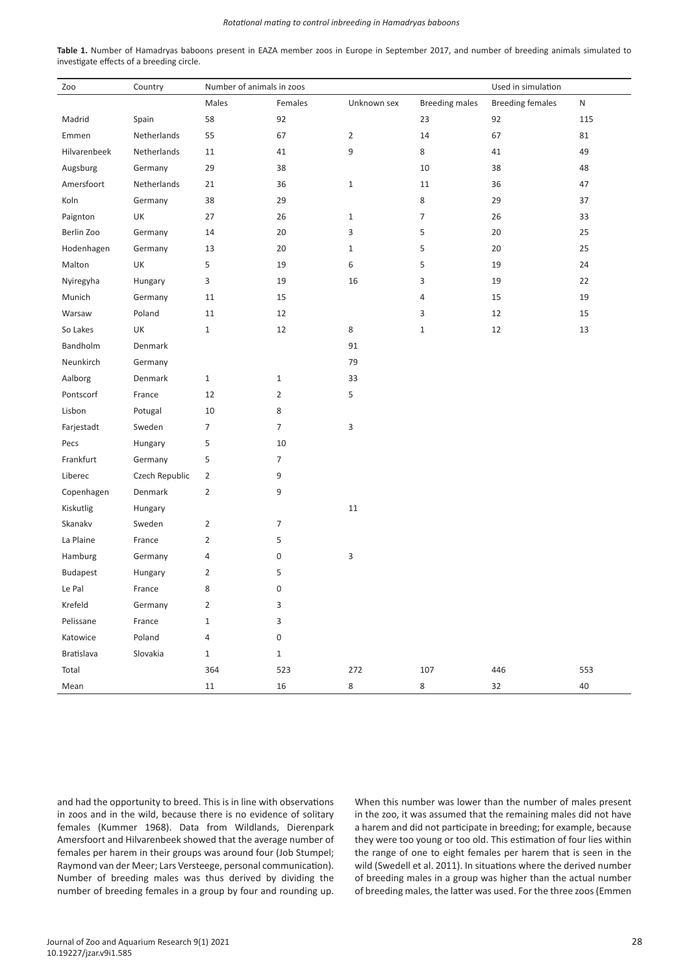#### *Rotational mating to control inbreeding in Hamadryas baboons*

**Table 1.** Number of Hamadryas baboons present in EAZA member zoos in Europe in September 2017, and number of breeding animals simulated to investigate effects of a breeding circle.

| Zoo             | Country        | Number of animals in zoos |                |                | Used in simulation    |                         |           |
|-----------------|----------------|---------------------------|----------------|----------------|-----------------------|-------------------------|-----------|
|                 |                | Males                     | Females        | Unknown sex    | <b>Breeding males</b> | <b>Breeding females</b> | ${\sf N}$ |
| Madrid          | Spain          | 58                        | 92             |                | 23                    | 92                      | 115       |
| Emmen           | Netherlands    | 55                        | 67             | $\overline{2}$ | 14                    | 67                      | 81        |
| Hilvarenbeek    | Netherlands    | 11                        | 41             | 9              | 8                     | 41                      | 49        |
| Augsburg        | Germany        | 29                        | 38             |                | 10                    | 38                      | 48        |
| Amersfoort      | Netherlands    | 21                        | 36             | $\mathbf{1}$   | 11                    | 36                      | 47        |
| Koln            | Germany        | 38                        | 29             |                | 8                     | 29                      | 37        |
| Paignton        | UK             | 27                        | 26             | $\mathbf{1}$   | $\overline{7}$        | 26                      | 33        |
| Berlin Zoo      | Germany        | 14                        | 20             | 3              | 5                     | 20                      | 25        |
| Hodenhagen      | Germany        | 13                        | 20             | $\mathbf{1}$   | 5                     | 20                      | 25        |
| Malton          | UK             | 5                         | 19             | 6              | 5                     | 19                      | 24        |
| Nyiregyha       | Hungary        | 3                         | 19             | 16             | 3                     | 19                      | 22        |
| Munich          | Germany        | 11                        | 15             |                | 4                     | 15                      | 19        |
| Warsaw          | Poland         | 11                        | 12             |                | 3                     | 12                      | 15        |
| So Lakes        | UK             | $\mathbf{1}$              | 12             | 8              | $\mathbf 1$           | 12                      | 13        |
| Bandholm        | Denmark        |                           |                | 91             |                       |                         |           |
| Neunkirch       | Germany        |                           |                | 79             |                       |                         |           |
| Aalborg         | Denmark        | $\,1\,$                   | $\mathbf{1}$   | 33             |                       |                         |           |
| Pontscorf       | France         | 12                        | $\overline{2}$ | 5              |                       |                         |           |
| Lisbon          | Potugal        | 10                        | 8              |                |                       |                         |           |
| Farjestadt      | Sweden         | $\overline{7}$            | $\overline{7}$ | 3              |                       |                         |           |
| Pecs            | Hungary        | 5                         | 10             |                |                       |                         |           |
| Frankfurt       | Germany        | 5                         | $\overline{7}$ |                |                       |                         |           |
| Liberec         | Czech Republic | $\overline{2}$            | 9              |                |                       |                         |           |
| Copenhagen      | Denmark        | $\overline{2}$            | 9              |                |                       |                         |           |
| Kiskutlig       | Hungary        |                           |                | $11\,$         |                       |                         |           |
| Skanakv         | Sweden         | $\overline{2}$            | $\overline{7}$ |                |                       |                         |           |
| La Plaine       | France         | $\overline{2}$            | 5              |                |                       |                         |           |
| Hamburg         | Germany        | 4                         | 0              | 3              |                       |                         |           |
| <b>Budapest</b> | Hungary        | $\overline{2}$            | 5              |                |                       |                         |           |
| Le Pal          | France         | 8                         | 0              |                |                       |                         |           |
| Krefeld         | Germany        | 2                         | 3              |                |                       |                         |           |
| Pelissane       | France         | $\mathbf 1$               | 3              |                |                       |                         |           |
| Katowice        | Poland         | 4                         | $\pmb{0}$      |                |                       |                         |           |
| Bratislava      | Slovakia       | $\mathbf{1}$              | $\,1\,$        |                |                       |                         |           |
| Total           |                | 364                       | 523            | 272            | 107                   | 446                     | 553       |
| Mean            |                | $11\,$                    | 16             | 8              | 8                     | 32                      | 40        |

and had the opportunity to breed. This is in line with observations in zoos and in the wild, because there is no evidence of solitary females (Kummer 1968). Data from Wildlands, Dierenpark Amersfoort and Hilvarenbeek showed that the average number of females per harem in their groups was around four (Job Stumpel; Raymond van der Meer; Lars Versteege, personal communication). Number of breeding males was thus derived by dividing the number of breeding females in a group by four and rounding up.

When this number was lower than the number of males present in the zoo, it was assumed that the remaining males did not have a harem and did not participate in breeding; for example, because they were too young or too old. This estimation of four lies within the range of one to eight females per harem that is seen in the wild (Swedell et al. 2011). In situations where the derived number of breeding males in a group was higher than the actual number of breeding males, the latter was used. For the three zoos (Emmen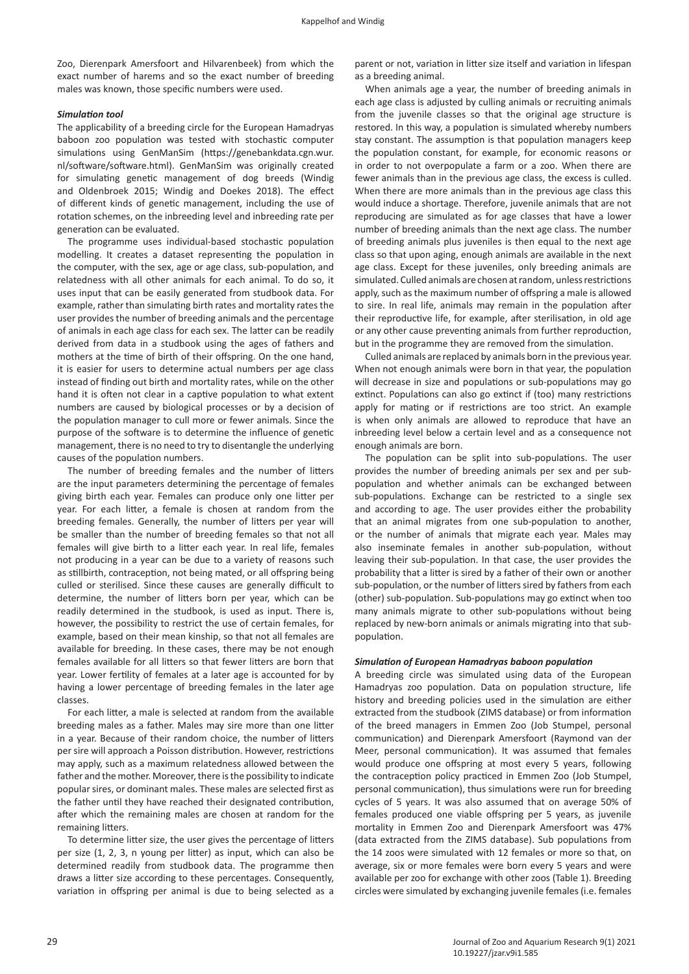Zoo, Dierenpark Amersfoort and Hilvarenbeek) from which the exact number of harems and so the exact number of breeding males was known, those specific numbers were used.

# *Simulation tool*

The applicability of a breeding circle for the European Hamadryas baboon zoo population was tested with stochastic computer simulations using GenManSim (https://genebankdata.cgn.wur. nl/software/software.html). GenManSim was originally created for simulating genetic management of dog breeds (Windig and Oldenbroek 2015; Windig and Doekes 2018). The effect of different kinds of genetic management, including the use of rotation schemes, on the inbreeding level and inbreeding rate per generation can be evaluated.

The programme uses individual-based stochastic population modelling. It creates a dataset representing the population in the computer, with the sex, age or age class, sub-population, and relatedness with all other animals for each animal. To do so, it uses input that can be easily generated from studbook data. For example, rather than simulating birth rates and mortality rates the user provides the number of breeding animals and the percentage of animals in each age class for each sex. The latter can be readily derived from data in a studbook using the ages of fathers and mothers at the time of birth of their offspring. On the one hand, it is easier for users to determine actual numbers per age class instead of finding out birth and mortality rates, while on the other hand it is often not clear in a captive population to what extent numbers are caused by biological processes or by a decision of the population manager to cull more or fewer animals. Since the purpose of the software is to determine the influence of genetic management, there is no need to try to disentangle the underlying causes of the population numbers.

The number of breeding females and the number of litters are the input parameters determining the percentage of females giving birth each year. Females can produce only one litter per year. For each litter, a female is chosen at random from the breeding females. Generally, the number of litters per year will be smaller than the number of breeding females so that not all females will give birth to a litter each year. In real life, females not producing in a year can be due to a variety of reasons such as stillbirth, contraception, not being mated, or all offspring being culled or sterilised. Since these causes are generally difficult to determine, the number of litters born per year, which can be readily determined in the studbook, is used as input. There is, however, the possibility to restrict the use of certain females, for example, based on their mean kinship, so that not all females are available for breeding. In these cases, there may be not enough females available for all litters so that fewer litters are born that year. Lower fertility of females at a later age is accounted for by having a lower percentage of breeding females in the later age classes.

For each litter, a male is selected at random from the available breeding males as a father. Males may sire more than one litter in a year. Because of their random choice, the number of litters per sire will approach a Poisson distribution. However, restrictions may apply, such as a maximum relatedness allowed between the father and the mother. Moreover, there is the possibility to indicate popular sires, or dominant males. These males are selected first as the father until they have reached their designated contribution, after which the remaining males are chosen at random for the remaining litters.

To determine litter size, the user gives the percentage of litters per size (1, 2, 3, n young per litter) as input, which can also be determined readily from studbook data. The programme then draws a litter size according to these percentages. Consequently, variation in offspring per animal is due to being selected as a

parent or not, variation in litter size itself and variation in lifespan as a breeding animal.

When animals age a year, the number of breeding animals in each age class is adjusted by culling animals or recruiting animals from the juvenile classes so that the original age structure is restored. In this way, a population is simulated whereby numbers stay constant. The assumption is that population managers keep the population constant, for example, for economic reasons or in order to not overpopulate a farm or a zoo. When there are fewer animals than in the previous age class, the excess is culled. When there are more animals than in the previous age class this would induce a shortage. Therefore, juvenile animals that are not reproducing are simulated as for age classes that have a lower number of breeding animals than the next age class. The number of breeding animals plus juveniles is then equal to the next age class so that upon aging, enough animals are available in the next age class. Except for these juveniles, only breeding animals are simulated. Culled animals are chosen at random, unless restrictions apply, such as the maximum number of offspring a male is allowed to sire. In real life, animals may remain in the population after their reproductive life, for example, after sterilisation, in old age or any other cause preventing animals from further reproduction, but in the programme they are removed from the simulation.

Culled animals are replaced by animals born in the previous year. When not enough animals were born in that year, the population will decrease in size and populations or sub-populations may go extinct. Populations can also go extinct if (too) many restrictions apply for mating or if restrictions are too strict. An example is when only animals are allowed to reproduce that have an inbreeding level below a certain level and as a consequence not enough animals are born.

The population can be split into sub-populations. The user provides the number of breeding animals per sex and per subpopulation and whether animals can be exchanged between sub-populations. Exchange can be restricted to a single sex and according to age. The user provides either the probability that an animal migrates from one sub-population to another, or the number of animals that migrate each year. Males may also inseminate females in another sub-population, without leaving their sub-population. In that case, the user provides the probability that a litter is sired by a father of their own or another sub-population, or the number of litters sired by fathers from each (other) sub-population. Sub-populations may go extinct when too many animals migrate to other sub-populations without being replaced by new-born animals or animals migrating into that subpopulation.

#### *Simulation of European Hamadryas baboon population*

A breeding circle was simulated using data of the European Hamadryas zoo population. Data on population structure, life history and breeding policies used in the simulation are either extracted from the studbook (ZIMS database) or from information of the breed managers in Emmen Zoo (Job Stumpel, personal communication) and Dierenpark Amersfoort (Raymond van der Meer, personal communication). It was assumed that females would produce one offspring at most every 5 years, following the contraception policy practiced in Emmen Zoo (Job Stumpel, personal communication), thus simulations were run for breeding cycles of 5 years. It was also assumed that on average 50% of females produced one viable offspring per 5 years, as juvenile mortality in Emmen Zoo and Dierenpark Amersfoort was 47% (data extracted from the ZIMS database). Sub populations from the 14 zoos were simulated with 12 females or more so that, on average, six or more females were born every 5 years and were available per zoo for exchange with other zoos (Table 1). Breeding circles were simulated by exchanging juvenile females (i.e. females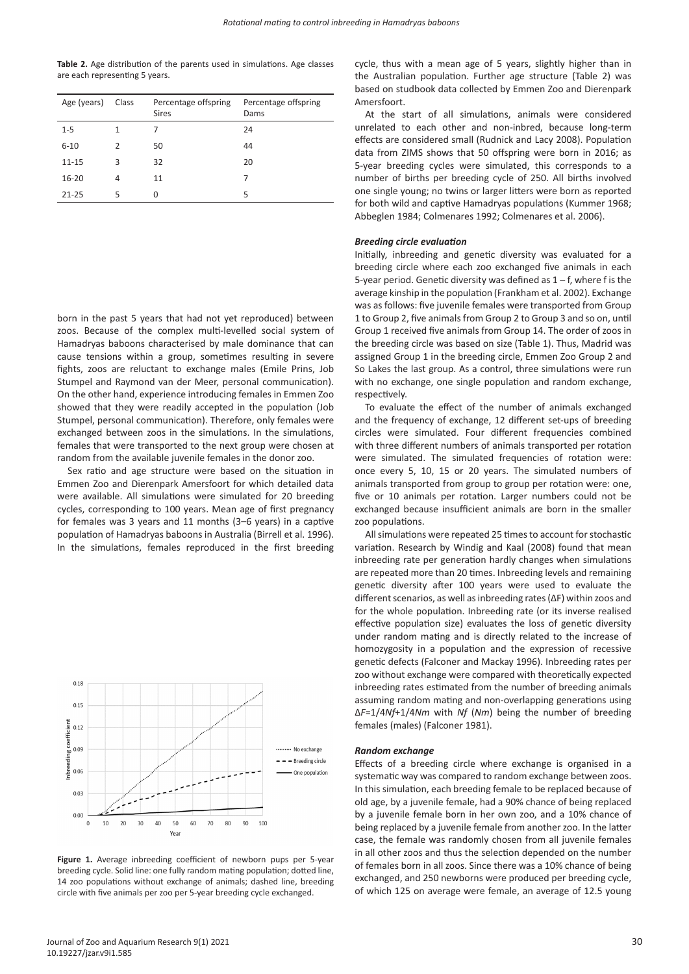**Table 2.** Age distribution of the parents used in simulations. Age classes are each representing 5 years.

| Age (years) | Class | Percentage offspring<br><b>Sires</b> | Percentage offspring<br>Dams |
|-------------|-------|--------------------------------------|------------------------------|
| $1 - 5$     | 1     |                                      | 24                           |
| $6 - 10$    | 2     | 50                                   | 44                           |
| $11 - 15$   | 3     | 32                                   | 20                           |
| $16 - 20$   | 4     | 11                                   | 7                            |
| $21 - 25$   | 5     | 0                                    | 5                            |

born in the past 5 years that had not yet reproduced) between zoos. Because of the complex multi-levelled social system of Hamadryas baboons characterised by male dominance that can cause tensions within a group, sometimes resulting in severe fights, zoos are reluctant to exchange males (Emile Prins, Job Stumpel and Raymond van der Meer, personal communication). On the other hand, experience introducing females in Emmen Zoo showed that they were readily accepted in the population (Job Stumpel, personal communication). Therefore, only females were exchanged between zoos in the simulations. In the simulations, females that were transported to the next group were chosen at random from the available juvenile females in the donor zoo.

Sex ratio and age structure were based on the situation in Emmen Zoo and Dierenpark Amersfoort for which detailed data were available. All simulations were simulated for 20 breeding cycles, corresponding to 100 years. Mean age of first pregnancy for females was 3 years and 11 months (3–6 years) in a captive population of Hamadryas baboons in Australia (Birrell et al. 1996). In the simulations, females reproduced in the first breeding



Figure 1. Average inbreeding coefficient of newborn pups per 5-year breeding cycle. Solid line: one fully random mating population; dotted line, 14 zoo populations without exchange of animals; dashed line, breeding circle with five animals per zoo per 5-year breeding cycle exchanged.

Journal of Zoo and Aquarium Research 9(1) 2021 10.19227/jzar.v9i1.585

cycle, thus with a mean age of 5 years, slightly higher than in the Australian population. Further age structure (Table 2) was based on studbook data collected by Emmen Zoo and Dierenpark Amersfoort.

At the start of all simulations, animals were considered unrelated to each other and non-inbred, because long-term effects are considered small (Rudnick and Lacy 2008). Population data from ZIMS shows that 50 offspring were born in 2016; as 5-year breeding cycles were simulated, this corresponds to a number of births per breeding cycle of 250. All births involved one single young; no twins or larger litters were born as reported for both wild and captive Hamadryas populations (Kummer 1968; Abbeglen 1984; Colmenares 1992; Colmenares et al. 2006).

# *Breeding circle evaluation*

Initially, inbreeding and genetic diversity was evaluated for a breeding circle where each zoo exchanged five animals in each 5-year period. Genetic diversity was defined as 1 – f, where f is the average kinship in the population (Frankham et al. 2002). Exchange was as follows: five juvenile females were transported from Group 1 to Group 2, five animals from Group 2 to Group 3 and so on, until Group 1 received five animals from Group 14. The order of zoos in the breeding circle was based on size (Table 1). Thus, Madrid was assigned Group 1 in the breeding circle, Emmen Zoo Group 2 and So Lakes the last group. As a control, three simulations were run with no exchange, one single population and random exchange, respectively.

To evaluate the effect of the number of animals exchanged and the frequency of exchange, 12 different set-ups of breeding circles were simulated. Four different frequencies combined with three different numbers of animals transported per rotation were simulated. The simulated frequencies of rotation were: once every 5, 10, 15 or 20 years. The simulated numbers of animals transported from group to group per rotation were: one, five or 10 animals per rotation. Larger numbers could not be exchanged because insufficient animals are born in the smaller zoo populations.

All simulations were repeated 25 times to account for stochastic variation. Research by Windig and Kaal (2008) found that mean inbreeding rate per generation hardly changes when simulations are repeated more than 20 times. Inbreeding levels and remaining genetic diversity after 100 years were used to evaluate the different scenarios, as well as inbreeding rates (ΔF) within zoos and for the whole population. Inbreeding rate (or its inverse realised effective population size) evaluates the loss of genetic diversity under random mating and is directly related to the increase of homozygosity in a population and the expression of recessive genetic defects (Falconer and Mackay 1996). Inbreeding rates per zoo without exchange were compared with theoretically expected inbreeding rates estimated from the number of breeding animals assuming random mating and non-overlapping generations using ∆*F*=1/4*Nf*+1/4*Nm* with *Nf* (*Nm*) being the number of breeding females (males) (Falconer 1981).

#### *Random exchange*

Effects of a breeding circle where exchange is organised in a systematic way was compared to random exchange between zoos. In this simulation, each breeding female to be replaced because of old age, by a juvenile female, had a 90% chance of being replaced by a juvenile female born in her own zoo, and a 10% chance of being replaced by a juvenile female from another zoo. In the latter case, the female was randomly chosen from all juvenile females in all other zoos and thus the selection depended on the number of females born in all zoos. Since there was a 10% chance of being exchanged, and 250 newborns were produced per breeding cycle, of which 125 on average were female, an average of 12.5 young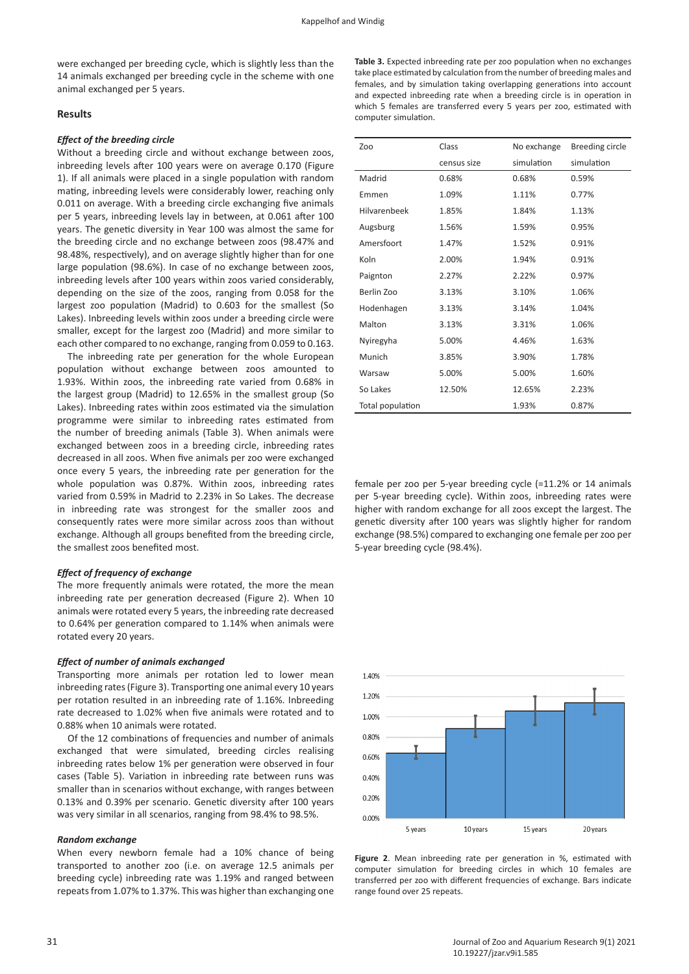were exchanged per breeding cycle, which is slightly less than the 14 animals exchanged per breeding cycle in the scheme with one animal exchanged per 5 years.

# **Results**

## *Effect of the breeding circle*

Without a breeding circle and without exchange between zoos, inbreeding levels after 100 years were on average 0.170 (Figure 1). If all animals were placed in a single population with random mating, inbreeding levels were considerably lower, reaching only 0.011 on average. With a breeding circle exchanging five animals per 5 years, inbreeding levels lay in between, at 0.061 after 100 years. The genetic diversity in Year 100 was almost the same for the breeding circle and no exchange between zoos (98.47% and 98.48%, respectively), and on average slightly higher than for one large population (98.6%). In case of no exchange between zoos, inbreeding levels after 100 years within zoos varied considerably, depending on the size of the zoos, ranging from 0.058 for the largest zoo population (Madrid) to 0.603 for the smallest (So Lakes). Inbreeding levels within zoos under a breeding circle were smaller, except for the largest zoo (Madrid) and more similar to each other compared to no exchange, ranging from 0.059 to 0.163.

The inbreeding rate per generation for the whole European population without exchange between zoos amounted to 1.93%. Within zoos, the inbreeding rate varied from 0.68% in the largest group (Madrid) to 12.65% in the smallest group (So Lakes). Inbreeding rates within zoos estimated via the simulation programme were similar to inbreeding rates estimated from the number of breeding animals (Table 3). When animals were exchanged between zoos in a breeding circle, inbreeding rates decreased in all zoos. When five animals per zoo were exchanged once every 5 years, the inbreeding rate per generation for the whole population was 0.87%. Within zoos, inbreeding rates varied from 0.59% in Madrid to 2.23% in So Lakes. The decrease in inbreeding rate was strongest for the smaller zoos and consequently rates were more similar across zoos than without exchange. Although all groups benefited from the breeding circle, the smallest zoos benefited most.

#### *Effect of frequency of exchange*

The more frequently animals were rotated, the more the mean inbreeding rate per generation decreased (Figure 2). When 10 animals were rotated every 5 years, the inbreeding rate decreased to 0.64% per generation compared to 1.14% when animals were rotated every 20 years.

#### *Effect of number of animals exchanged*

Transporting more animals per rotation led to lower mean inbreeding rates (Figure 3). Transporting one animal every 10 years per rotation resulted in an inbreeding rate of 1.16%. Inbreeding rate decreased to 1.02% when five animals were rotated and to 0.88% when 10 animals were rotated.

Of the 12 combinations of frequencies and number of animals exchanged that were simulated, breeding circles realising inbreeding rates below 1% per generation were observed in four cases (Table 5). Variation in inbreeding rate between runs was smaller than in scenarios without exchange, with ranges between 0.13% and 0.39% per scenario. Genetic diversity after 100 years was very similar in all scenarios, ranging from 98.4% to 98.5%.

## *Random exchange*

When every newborn female had a 10% chance of being transported to another zoo (i.e. on average 12.5 animals per breeding cycle) inbreeding rate was 1.19% and ranged between repeats from 1.07% to 1.37%. This was higher than exchanging one

**Table 3.** Expected inbreeding rate per zoo population when no exchanges take place estimated by calculation from the number of breeding males and females, and by simulation taking overlapping generations into account and expected inbreeding rate when a breeding circle is in operation in which 5 females are transferred every 5 years per zoo, estimated with computer simulation.

| Zoo              | Class       | No exchange | Breeding circle |
|------------------|-------------|-------------|-----------------|
|                  | census size | simulation  | simulation      |
| Madrid           | 0.68%       | 0.68%       | 0.59%           |
| Emmen            | 1.09%       | 1.11%       | 0.77%           |
| Hilvarenbeek     | 1.85%       | 1.84%       | 1.13%           |
| Augsburg         | 1.56%       | 1.59%       | 0.95%           |
| Amersfoort       | 1.47%       | 1.52%       | 0.91%           |
| Koln             | 2.00%       | 1.94%       | 0.91%           |
| Paignton         | 2.27%       | 2.22%       | 0.97%           |
| Berlin Zoo       | 3.13%       | 3.10%       | 1.06%           |
| Hodenhagen       | 3.13%       | 3.14%       | 1.04%           |
| Malton           | 3.13%       | 3.31%       | 1.06%           |
| Nyiregyha        | 5.00%       | 4.46%       | 1.63%           |
| Munich           | 3.85%       | 3.90%       | 1.78%           |
| Warsaw           | 5.00%       | 5.00%       | 1.60%           |
| So Lakes         | 12.50%      | 12.65%      | 2.23%           |
| Total population |             | 1.93%       | 0.87%           |

female per zoo per 5-year breeding cycle (=11.2% or 14 animals per 5-year breeding cycle). Within zoos, inbreeding rates were higher with random exchange for all zoos except the largest. The genetic diversity after 100 years was slightly higher for random exchange (98.5%) compared to exchanging one female per zoo per 5-year breeding cycle (98.4%).



**Figure 2**. Mean inbreeding rate per generation in %, estimated with computer simulation for breeding circles in which 10 females are transferred per zoo with different frequencies of exchange. Bars indicate range found over 25 repeats.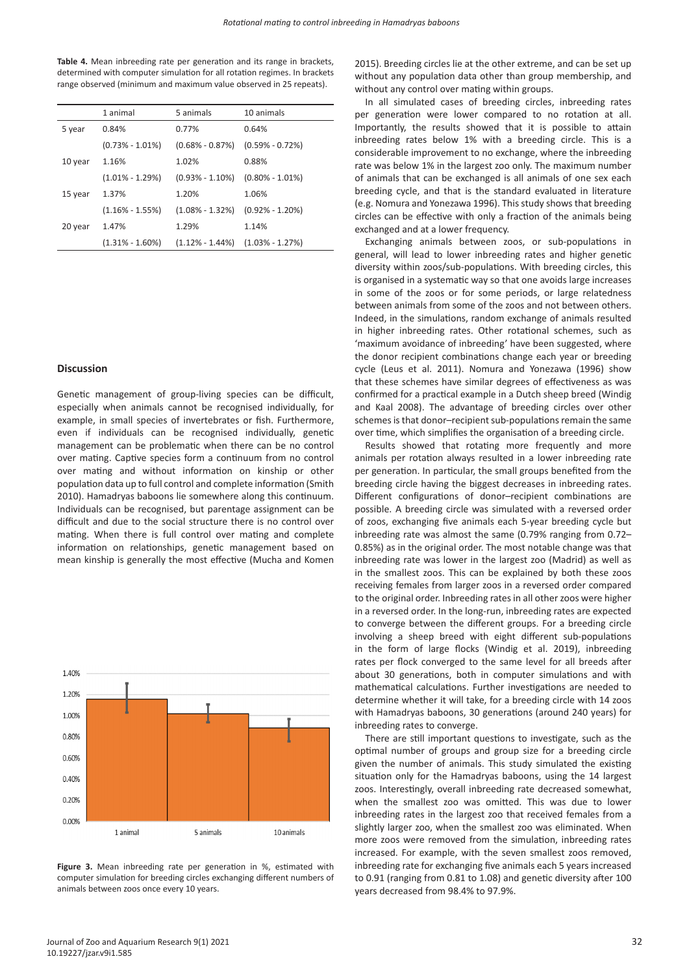**Table 4.** Mean inbreeding rate per generation and its range in brackets, determined with computer simulation for all rotation regimes. In brackets range observed (minimum and maximum value observed in 25 repeats).

|         | 1 animal            | 5 animals           | 10 animals          |
|---------|---------------------|---------------------|---------------------|
| 5 year  | 0.84%               | 0.77%               | 0.64%               |
|         | $(0.73\% - 1.01\%)$ | $(0.68\% - 0.87\%)$ | $(0.59\% - 0.72\%)$ |
| 10 year | 1.16%               | 1.02%               | 0.88%               |
|         | $(1.01\% - 1.29\%)$ | $(0.93\% - 1.10\%)$ | $(0.80\% - 1.01\%)$ |
| 15 year | 1.37%               | 1.20%               | 1.06%               |
|         | $(1.16\% - 1.55\%)$ | $(1.08\% - 1.32\%)$ | $(0.92\% - 1.20\%)$ |
| 20 year | 1.47%               | 1.29%               | 1.14%               |
|         | $(1.31\% - 1.60\%)$ | $(1.12\% - 1.44\%)$ | $(1.03\% - 1.27\%)$ |

#### **Discussion**

Genetic management of group-living species can be difficult, especially when animals cannot be recognised individually, for example, in small species of invertebrates or fish. Furthermore, even if individuals can be recognised individually, genetic management can be problematic when there can be no control over mating. Captive species form a continuum from no control over mating and without information on kinship or other population data up to full control and complete information (Smith 2010). Hamadryas baboons lie somewhere along this continuum. Individuals can be recognised, but parentage assignment can be difficult and due to the social structure there is no control over mating. When there is full control over mating and complete information on relationships, genetic management based on mean kinship is generally the most effective (Mucha and Komen



**Figure 3.** Mean inbreeding rate per generation in %, estimated with computer simulation for breeding circles exchanging different numbers of animals between zoos once every 10 years.

2015). Breeding circles lie at the other extreme, and can be set up without any population data other than group membership, and without any control over mating within groups.

In all simulated cases of breeding circles, inbreeding rates per generation were lower compared to no rotation at all. Importantly, the results showed that it is possible to attain inbreeding rates below 1% with a breeding circle. This is a considerable improvement to no exchange, where the inbreeding rate was below 1% in the largest zoo only. The maximum number of animals that can be exchanged is all animals of one sex each breeding cycle, and that is the standard evaluated in literature (e.g. Nomura and Yonezawa 1996). This study shows that breeding circles can be effective with only a fraction of the animals being exchanged and at a lower frequency.

Exchanging animals between zoos, or sub-populations in general, will lead to lower inbreeding rates and higher genetic diversity within zoos/sub-populations. With breeding circles, this is organised in a systematic way so that one avoids large increases in some of the zoos or for some periods, or large relatedness between animals from some of the zoos and not between others. Indeed, in the simulations, random exchange of animals resulted in higher inbreeding rates. Other rotational schemes, such as 'maximum avoidance of inbreeding' have been suggested, where the donor recipient combinations change each year or breeding cycle (Leus et al. 2011). Nomura and Yonezawa (1996) show that these schemes have similar degrees of effectiveness as was confirmed for a practical example in a Dutch sheep breed (Windig and Kaal 2008). The advantage of breeding circles over other schemes is that donor–recipient sub-populations remain the same over time, which simplifies the organisation of a breeding circle.

Results showed that rotating more frequently and more animals per rotation always resulted in a lower inbreeding rate per generation. In particular, the small groups benefited from the breeding circle having the biggest decreases in inbreeding rates. Different configurations of donor–recipient combinations are possible. A breeding circle was simulated with a reversed order of zoos, exchanging five animals each 5-year breeding cycle but inbreeding rate was almost the same (0.79% ranging from 0.72– 0.85%) as in the original order. The most notable change was that inbreeding rate was lower in the largest zoo (Madrid) as well as in the smallest zoos. This can be explained by both these zoos receiving females from larger zoos in a reversed order compared to the original order. Inbreeding rates in all other zoos were higher in a reversed order. In the long-run, inbreeding rates are expected to converge between the different groups. For a breeding circle involving a sheep breed with eight different sub-populations in the form of large flocks (Windig et al. 2019), inbreeding rates per flock converged to the same level for all breeds after about 30 generations, both in computer simulations and with mathematical calculations. Further investigations are needed to determine whether it will take, for a breeding circle with 14 zoos with Hamadryas baboons, 30 generations (around 240 years) for inbreeding rates to converge.

There are still important questions to investigate, such as the optimal number of groups and group size for a breeding circle given the number of animals. This study simulated the existing situation only for the Hamadryas baboons, using the 14 largest zoos. Interestingly, overall inbreeding rate decreased somewhat, when the smallest zoo was omitted. This was due to lower inbreeding rates in the largest zoo that received females from a slightly larger zoo, when the smallest zoo was eliminated. When more zoos were removed from the simulation, inbreeding rates increased. For example, with the seven smallest zoos removed, inbreeding rate for exchanging five animals each 5 years increased to 0.91 (ranging from 0.81 to 1.08) and genetic diversity after 100 years decreased from 98.4% to 97.9%.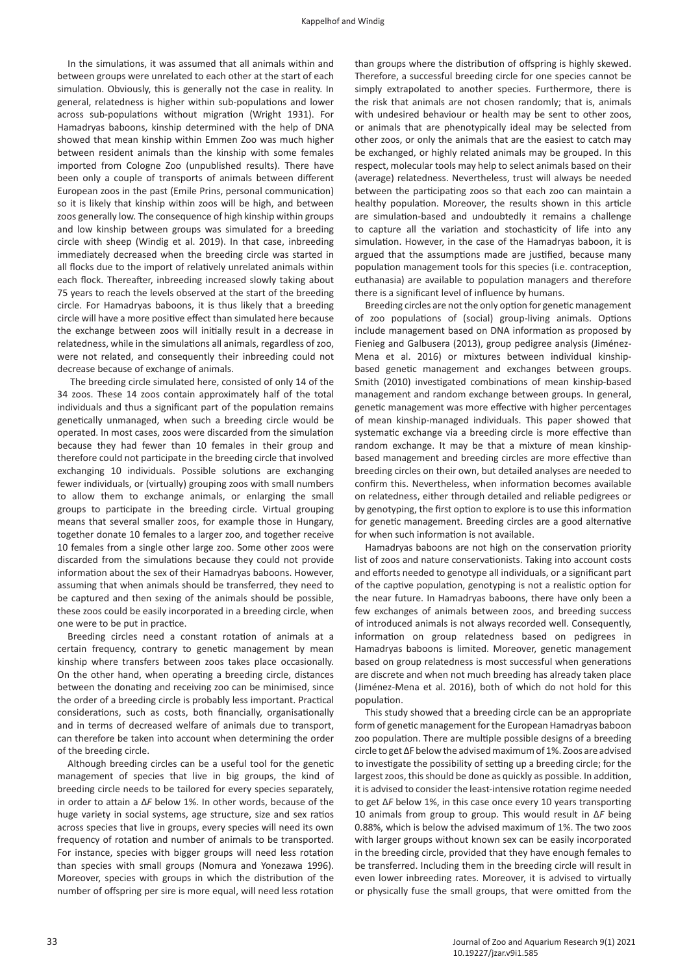In the simulations, it was assumed that all animals within and between groups were unrelated to each other at the start of each simulation. Obviously, this is generally not the case in reality. In general, relatedness is higher within sub-populations and lower across sub-populations without migration (Wright 1931). For Hamadryas baboons, kinship determined with the help of DNA showed that mean kinship within Emmen Zoo was much higher between resident animals than the kinship with some females imported from Cologne Zoo (unpublished results). There have been only a couple of transports of animals between different European zoos in the past (Emile Prins, personal communication) so it is likely that kinship within zoos will be high, and between zoos generally low. The consequence of high kinship within groups and low kinship between groups was simulated for a breeding circle with sheep (Windig et al. 2019). In that case, inbreeding immediately decreased when the breeding circle was started in all flocks due to the import of relatively unrelated animals within each flock. Thereafter, inbreeding increased slowly taking about 75 years to reach the levels observed at the start of the breeding circle. For Hamadryas baboons, it is thus likely that a breeding circle will have a more positive effect than simulated here because the exchange between zoos will initially result in a decrease in relatedness, while in the simulations all animals, regardless of zoo, were not related, and consequently their inbreeding could not decrease because of exchange of animals.

 The breeding circle simulated here, consisted of only 14 of the 34 zoos. These 14 zoos contain approximately half of the total individuals and thus a significant part of the population remains genetically unmanaged, when such a breeding circle would be operated. In most cases, zoos were discarded from the simulation because they had fewer than 10 females in their group and therefore could not participate in the breeding circle that involved exchanging 10 individuals. Possible solutions are exchanging fewer individuals, or (virtually) grouping zoos with small numbers to allow them to exchange animals, or enlarging the small groups to participate in the breeding circle. Virtual grouping means that several smaller zoos, for example those in Hungary, together donate 10 females to a larger zoo, and together receive 10 females from a single other large zoo. Some other zoos were discarded from the simulations because they could not provide information about the sex of their Hamadryas baboons. However, assuming that when animals should be transferred, they need to be captured and then sexing of the animals should be possible, these zoos could be easily incorporated in a breeding circle, when one were to be put in practice.

Breeding circles need a constant rotation of animals at a certain frequency, contrary to genetic management by mean kinship where transfers between zoos takes place occasionally. On the other hand, when operating a breeding circle, distances between the donating and receiving zoo can be minimised, since the order of a breeding circle is probably less important. Practical considerations, such as costs, both financially, organisationally and in terms of decreased welfare of animals due to transport, can therefore be taken into account when determining the order of the breeding circle.

Although breeding circles can be a useful tool for the genetic management of species that live in big groups, the kind of breeding circle needs to be tailored for every species separately, in order to attain a ∆*F* below 1%. In other words, because of the huge variety in social systems, age structure, size and sex ratios across species that live in groups, every species will need its own frequency of rotation and number of animals to be transported. For instance, species with bigger groups will need less rotation than species with small groups (Nomura and Yonezawa 1996). Moreover, species with groups in which the distribution of the number of offspring per sire is more equal, will need less rotation

than groups where the distribution of offspring is highly skewed. Therefore, a successful breeding circle for one species cannot be simply extrapolated to another species. Furthermore, there is the risk that animals are not chosen randomly; that is, animals with undesired behaviour or health may be sent to other zoos, or animals that are phenotypically ideal may be selected from other zoos, or only the animals that are the easiest to catch may be exchanged, or highly related animals may be grouped. In this respect, molecular tools may help to select animals based on their (average) relatedness. Nevertheless, trust will always be needed between the participating zoos so that each zoo can maintain a healthy population. Moreover, the results shown in this article are simulation-based and undoubtedly it remains a challenge to capture all the variation and stochasticity of life into any simulation. However, in the case of the Hamadryas baboon, it is argued that the assumptions made are justified, because many population management tools for this species (i.e. contraception, euthanasia) are available to population managers and therefore there is a significant level of influence by humans.

Breeding circles are not the only option for genetic management of zoo populations of (social) group-living animals. Options include management based on DNA information as proposed by Fienieg and Galbusera (2013), group pedigree analysis (Jiménez-Mena et al. 2016) or mixtures between individual kinshipbased genetic management and exchanges between groups. Smith (2010) investigated combinations of mean kinship-based management and random exchange between groups. In general, genetic management was more effective with higher percentages of mean kinship-managed individuals. This paper showed that systematic exchange via a breeding circle is more effective than random exchange. It may be that a mixture of mean kinshipbased management and breeding circles are more effective than breeding circles on their own, but detailed analyses are needed to confirm this. Nevertheless, when information becomes available on relatedness, either through detailed and reliable pedigrees or by genotyping, the first option to explore is to use this information for genetic management. Breeding circles are a good alternative for when such information is not available.

Hamadryas baboons are not high on the conservation priority list of zoos and nature conservationists. Taking into account costs and efforts needed to genotype all individuals, or a significant part of the captive population, genotyping is not a realistic option for the near future. In Hamadryas baboons, there have only been a few exchanges of animals between zoos, and breeding success of introduced animals is not always recorded well. Consequently, information on group relatedness based on pedigrees in Hamadryas baboons is limited. Moreover, genetic management based on group relatedness is most successful when generations are discrete and when not much breeding has already taken place (Jiménez-Mena et al. 2016), both of which do not hold for this population.

This study showed that a breeding circle can be an appropriate form of genetic management for the European Hamadryas baboon zoo population. There are multiple possible designs of a breeding circle to get ∆F below the advised maximum of 1%. Zoos are advised to investigate the possibility of setting up a breeding circle; for the largest zoos, this should be done as quickly as possible. In addition, it is advised to consider the least-intensive rotation regime needed to get ∆*F* below 1%, in this case once every 10 years transporting 10 animals from group to group. This would result in ∆*F* being 0.88%, which is below the advised maximum of 1%. The two zoos with larger groups without known sex can be easily incorporated in the breeding circle, provided that they have enough females to be transferred. Including them in the breeding circle will result in even lower inbreeding rates. Moreover, it is advised to virtually or physically fuse the small groups, that were omitted from the